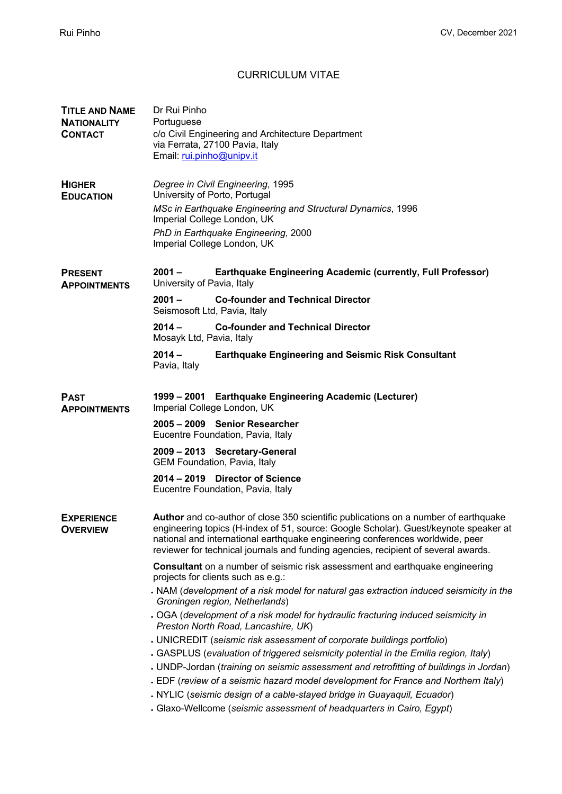## CURRICULUM VITAE

| <b>TITLE AND NAME</b><br><b>NATIONALITY</b><br><b>CONTACT</b> | Dr Rui Pinho<br>Portuguese<br>c/o Civil Engineering and Architecture Department<br>via Ferrata, 27100 Pavia, Italy<br>Email: rui.pinho@unipv.it                                                                                                                                                                                                    |
|---------------------------------------------------------------|----------------------------------------------------------------------------------------------------------------------------------------------------------------------------------------------------------------------------------------------------------------------------------------------------------------------------------------------------|
| <b>HIGHER</b><br><b>EDUCATION</b>                             | Degree in Civil Engineering, 1995<br>University of Porto, Portugal                                                                                                                                                                                                                                                                                 |
|                                                               | MSc in Earthquake Engineering and Structural Dynamics, 1996<br>Imperial College London, UK                                                                                                                                                                                                                                                         |
|                                                               | PhD in Earthquake Engineering, 2000<br>Imperial College London, UK                                                                                                                                                                                                                                                                                 |
| <b>PRESENT</b><br><b>APPOINTMENTS</b>                         | Earthquake Engineering Academic (currently, Full Professor)<br>$2001 -$<br>University of Pavia, Italy                                                                                                                                                                                                                                              |
|                                                               | $2001 -$<br><b>Co-founder and Technical Director</b><br>Seismosoft Ltd, Pavia, Italy                                                                                                                                                                                                                                                               |
|                                                               | $2014 -$<br><b>Co-founder and Technical Director</b><br>Mosayk Ltd, Pavia, Italy                                                                                                                                                                                                                                                                   |
|                                                               | $2014 -$<br><b>Earthquake Engineering and Seismic Risk Consultant</b><br>Pavia, Italy                                                                                                                                                                                                                                                              |
| <b>PAST</b><br><b>APPOINTMENTS</b>                            | 1999 - 2001 Earthquake Engineering Academic (Lecturer)<br>Imperial College London, UK                                                                                                                                                                                                                                                              |
|                                                               | 2005 - 2009 Senior Researcher<br>Eucentre Foundation, Pavia, Italy                                                                                                                                                                                                                                                                                 |
|                                                               | 2009 - 2013 Secretary-General<br><b>GEM Foundation, Pavia, Italy</b>                                                                                                                                                                                                                                                                               |
|                                                               | 2014 – 2019 Director of Science<br>Eucentre Foundation, Pavia, Italy                                                                                                                                                                                                                                                                               |
| <b>EXPERIENCE</b><br><b>OVERVIEW</b>                          | Author and co-author of close 350 scientific publications on a number of earthquake<br>engineering topics (H-index of 51, source: Google Scholar). Guest/keynote speaker at<br>national and international earthquake engineering conferences worldwide, peer<br>reviewer for technical journals and funding agencies, recipient of several awards. |
|                                                               | Consultant on a number of seismic risk assessment and earthquake engineering<br>projects for clients such as e.g.:                                                                                                                                                                                                                                 |
|                                                               | NAM (development of a risk model for natural gas extraction induced seismicity in the<br>Groningen region, Netherlands)                                                                                                                                                                                                                            |
|                                                               | . OGA (development of a risk model for hydraulic fracturing induced seismicity in<br>Preston North Road, Lancashire, UK)                                                                                                                                                                                                                           |
|                                                               | . UNICREDIT (seismic risk assessment of corporate buildings portfolio)                                                                                                                                                                                                                                                                             |
|                                                               | . GASPLUS (evaluation of triggered seismicity potential in the Emilia region, Italy)                                                                                                                                                                                                                                                               |
|                                                               | . UNDP-Jordan (training on seismic assessment and retrofitting of buildings in Jordan)                                                                                                                                                                                                                                                             |
|                                                               | . EDF (review of a seismic hazard model development for France and Northern Italy)<br>NYLIC (seismic design of a cable-stayed bridge in Guayaquil, Ecuador)                                                                                                                                                                                        |
|                                                               | . Glaxo-Wellcome (seismic assessment of headquarters in Cairo, Egypt)                                                                                                                                                                                                                                                                              |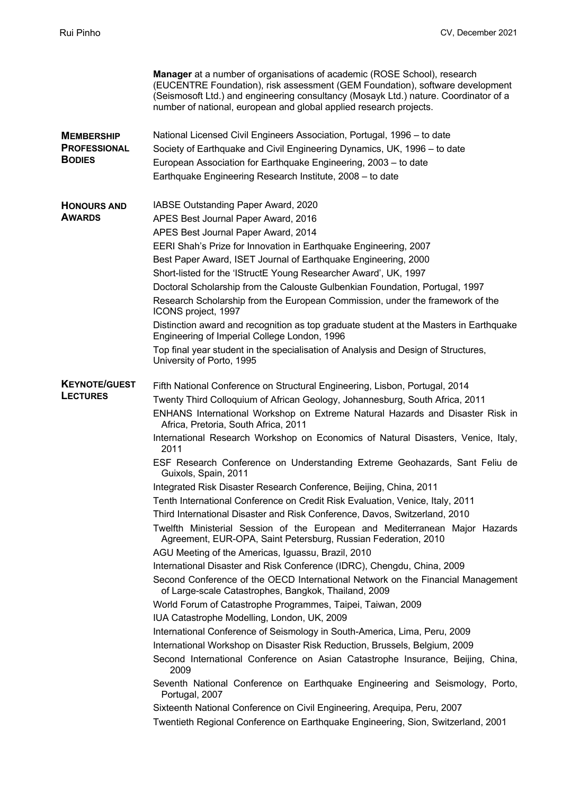|                                      | <b>Manager</b> at a number of organisations of academic (ROSE School), research<br>(EUCENTRE Foundation), risk assessment (GEM Foundation), software development<br>(Seismosoft Ltd.) and engineering consultancy (Mosayk Ltd.) nature. Coordinator of a<br>number of national, european and global applied research projects. |
|--------------------------------------|--------------------------------------------------------------------------------------------------------------------------------------------------------------------------------------------------------------------------------------------------------------------------------------------------------------------------------|
| <b>MEMBERSHIP</b>                    | National Licensed Civil Engineers Association, Portugal, 1996 – to date                                                                                                                                                                                                                                                        |
| <b>PROFESSIONAL</b><br><b>BODIES</b> | Society of Earthquake and Civil Engineering Dynamics, UK, 1996 - to date                                                                                                                                                                                                                                                       |
|                                      | European Association for Earthquake Engineering, 2003 - to date                                                                                                                                                                                                                                                                |
|                                      | Earthquake Engineering Research Institute, 2008 - to date                                                                                                                                                                                                                                                                      |
| <b>HONOURS AND</b><br><b>AWARDS</b>  | IABSE Outstanding Paper Award, 2020                                                                                                                                                                                                                                                                                            |
|                                      | APES Best Journal Paper Award, 2016                                                                                                                                                                                                                                                                                            |
|                                      | APES Best Journal Paper Award, 2014                                                                                                                                                                                                                                                                                            |
|                                      | EERI Shah's Prize for Innovation in Earthquake Engineering, 2007                                                                                                                                                                                                                                                               |
|                                      | Best Paper Award, ISET Journal of Earthquake Engineering, 2000                                                                                                                                                                                                                                                                 |
|                                      | Short-listed for the 'IStructE Young Researcher Award', UK, 1997                                                                                                                                                                                                                                                               |
|                                      | Doctoral Scholarship from the Calouste Gulbenkian Foundation, Portugal, 1997                                                                                                                                                                                                                                                   |
|                                      | Research Scholarship from the European Commission, under the framework of the<br>ICONS project, 1997                                                                                                                                                                                                                           |
|                                      | Distinction award and recognition as top graduate student at the Masters in Earthquake<br>Engineering of Imperial College London, 1996                                                                                                                                                                                         |
|                                      | Top final year student in the specialisation of Analysis and Design of Structures,<br>University of Porto, 1995                                                                                                                                                                                                                |
| <b>KEYNOTE/GUEST</b>                 | Fifth National Conference on Structural Engineering, Lisbon, Portugal, 2014                                                                                                                                                                                                                                                    |
| <b>LECTURES</b>                      | Twenty Third Colloquium of African Geology, Johannesburg, South Africa, 2011                                                                                                                                                                                                                                                   |
|                                      | ENHANS International Workshop on Extreme Natural Hazards and Disaster Risk in<br>Africa, Pretoria, South Africa, 2011                                                                                                                                                                                                          |
|                                      | International Research Workshop on Economics of Natural Disasters, Venice, Italy,<br>2011                                                                                                                                                                                                                                      |
|                                      | ESF Research Conference on Understanding Extreme Geohazards, Sant Feliu de<br>Guixols, Spain, 2011                                                                                                                                                                                                                             |
|                                      | Integrated Risk Disaster Research Conference, Beijing, China, 2011                                                                                                                                                                                                                                                             |
|                                      | Tenth International Conference on Credit Risk Evaluation, Venice, Italy, 2011                                                                                                                                                                                                                                                  |
|                                      | Third International Disaster and Risk Conference, Davos, Switzerland, 2010                                                                                                                                                                                                                                                     |
|                                      | Twelfth Ministerial Session of the European and Mediterranean Major Hazards<br>Agreement, EUR-OPA, Saint Petersburg, Russian Federation, 2010                                                                                                                                                                                  |
|                                      | AGU Meeting of the Americas, Iguassu, Brazil, 2010                                                                                                                                                                                                                                                                             |
|                                      | International Disaster and Risk Conference (IDRC), Chengdu, China, 2009                                                                                                                                                                                                                                                        |
|                                      | Second Conference of the OECD International Network on the Financial Management<br>of Large-scale Catastrophes, Bangkok, Thailand, 2009                                                                                                                                                                                        |
|                                      | World Forum of Catastrophe Programmes, Taipei, Taiwan, 2009                                                                                                                                                                                                                                                                    |
|                                      | IUA Catastrophe Modelling, London, UK, 2009                                                                                                                                                                                                                                                                                    |
|                                      | International Conference of Seismology in South-America, Lima, Peru, 2009                                                                                                                                                                                                                                                      |
|                                      | International Workshop on Disaster Risk Reduction, Brussels, Belgium, 2009                                                                                                                                                                                                                                                     |
|                                      | Second International Conference on Asian Catastrophe Insurance, Beijing, China,<br>2009                                                                                                                                                                                                                                        |
|                                      | Seventh National Conference on Earthquake Engineering and Seismology, Porto,<br>Portugal, 2007                                                                                                                                                                                                                                 |
|                                      | Sixteenth National Conference on Civil Engineering, Arequipa, Peru, 2007<br>Twentieth Regional Conference on Earthquake Engineering, Sion, Switzerland, 2001                                                                                                                                                                   |